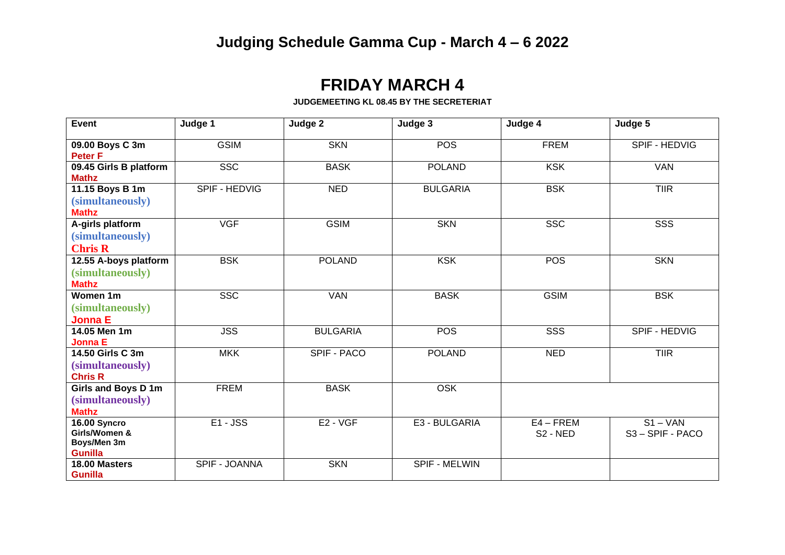## **FRIDAY MARCH 4**

## **JUDGEMEETING KL 08.45 BY THE SECRETERIAT**

| Event                                                          | Judge 1       | Judge 2         | Judge 3         | Judge 4                             | Judge 5                    |
|----------------------------------------------------------------|---------------|-----------------|-----------------|-------------------------------------|----------------------------|
| 09.00 Boys C 3m<br><b>Peter F</b>                              | <b>GSIM</b>   | <b>SKN</b>      | <b>POS</b>      | <b>FREM</b>                         | SPIF - HEDVIG              |
| 09.45 Girls B platform<br><b>Mathz</b>                         | <b>SSC</b>    | <b>BASK</b>     | <b>POLAND</b>   | <b>KSK</b>                          | <b>VAN</b>                 |
| 11.15 Boys B 1m<br>(simultaneously)<br><b>Mathz</b>            | SPIF - HEDVIG | <b>NED</b>      | <b>BULGARIA</b> | <b>BSK</b>                          | TIR                        |
| A-girls platform<br>(simultaneously)<br><b>Chris R</b>         | <b>VGF</b>    | <b>GSIM</b>     | <b>SKN</b>      | <b>SSC</b>                          | SSS                        |
| 12.55 A-boys platform<br>(simultaneously)<br><b>Mathz</b>      | <b>BSK</b>    | <b>POLAND</b>   | <b>KSK</b>      | <b>POS</b>                          | <b>SKN</b>                 |
| Women 1m<br>(simultaneously)<br><b>Jonna E</b>                 | SSC           | <b>VAN</b>      | <b>BASK</b>     | <b>GSIM</b>                         | <b>BSK</b>                 |
| 14.05 Men 1m<br><b>Jonna E</b>                                 | <b>JSS</b>    | <b>BULGARIA</b> | <b>POS</b>      | SSS                                 | SPIF - HEDVIG              |
| 14.50 Girls C 3m<br>(simultaneously)<br><b>Chris R</b>         | <b>MKK</b>    | SPIF - PACO     | <b>POLAND</b>   | <b>NED</b>                          | <b>TIIR</b>                |
| Girls and Boys D 1m<br>(simultaneously)<br><b>Mathz</b>        | <b>FREM</b>   | <b>BASK</b>     | <b>OSK</b>      |                                     |                            |
| 16.00 Syncro<br>Girls/Women &<br>Boys/Men 3m<br><b>Gunilla</b> | $E1 - JSS$    | E2 - VGF        | E3 - BULGARIA   | $E4 - FREM$<br>S <sub>2</sub> - NED | $S1 - VAN$<br>S3-SPIF-PACO |
| 18.00 Masters<br><b>Gunilla</b>                                | SPIF - JOANNA | <b>SKN</b>      | SPIF - MELWIN   |                                     |                            |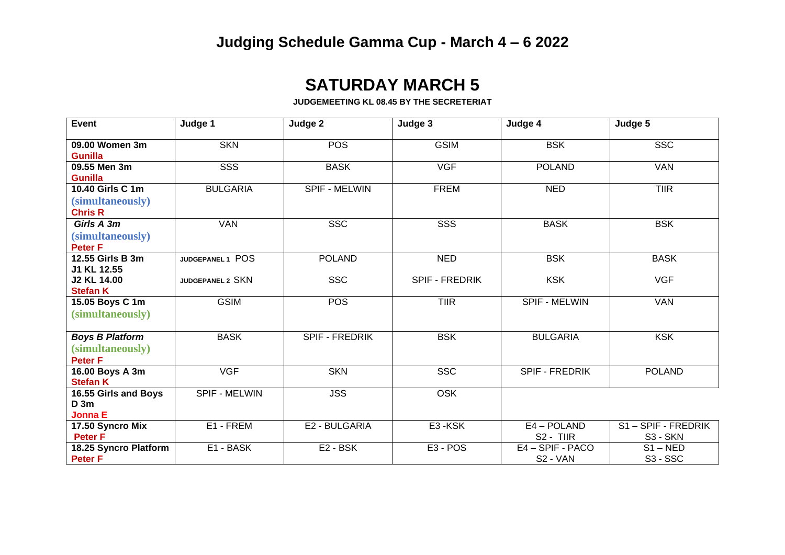## **SATURDAY MARCH 5**

**JUDGEMEETING KL 08.45 BY THE SECRETERIAT**

| <b>Event</b>                      | Judge 1              | Judge 2               | Judge 3               | Judge 4               | Judge 5              |
|-----------------------------------|----------------------|-----------------------|-----------------------|-----------------------|----------------------|
|                                   |                      |                       |                       |                       |                      |
| 09.00 Women 3m<br><b>Gunilla</b>  | <b>SKN</b>           | <b>POS</b>            | <b>GSIM</b>           | <b>BSK</b>            | <b>SSC</b>           |
| 09.55 Men 3m                      | SSS                  | <b>BASK</b>           | <b>VGF</b>            | <b>POLAND</b>         | <b>VAN</b>           |
| <b>Gunilla</b>                    |                      |                       |                       |                       |                      |
| 10.40 Girls C 1m                  | <b>BULGARIA</b>      | <b>SPIF - MELWIN</b>  | <b>FREM</b>           | <b>NED</b>            | <b>TIIR</b>          |
| (simultaneously)                  |                      |                       |                       |                       |                      |
| <b>Chris R</b>                    |                      |                       |                       |                       |                      |
| Girls A 3m                        | <b>VAN</b>           | <b>SSC</b>            | SSS                   | <b>BASK</b>           | <b>BSK</b>           |
| (simultaneously)                  |                      |                       |                       |                       |                      |
| Peter <sub>F</sub>                |                      |                       |                       |                       |                      |
| 12.55 Girls B 3m                  | JUDGEPANEL 1 POS     | <b>POLAND</b>         | <b>NED</b>            | <b>BSK</b>            | <b>BASK</b>          |
| J1 KL 12.55                       |                      |                       |                       |                       |                      |
| <b>J2 KL 14.00</b>                | JUDGEPANEL 2 SKN     | <b>SSC</b>            | <b>SPIF - FREDRIK</b> | <b>KSK</b>            | <b>VGF</b>           |
| <b>Stefan K</b>                   |                      |                       |                       |                       |                      |
| 15.05 Boys C 1m                   | <b>GSIM</b>          | <b>POS</b>            | <b>TIIR</b>           | SPIF - MELWIN         | <b>VAN</b>           |
| (simultaneously)                  |                      |                       |                       |                       |                      |
|                                   | <b>BASK</b>          | <b>SPIF - FREDRIK</b> | <b>BSK</b>            | <b>BULGARIA</b>       | <b>KSK</b>           |
| <b>Boys B Platform</b>            |                      |                       |                       |                       |                      |
| (simultaneously)                  |                      |                       |                       |                       |                      |
| <b>Peter F</b><br>16.00 Boys A 3m | <b>VGF</b>           | <b>SKN</b>            | <b>SSC</b>            | <b>SPIF - FREDRIK</b> | <b>POLAND</b>        |
| <b>Stefan K</b>                   |                      |                       |                       |                       |                      |
| 16.55 Girls and Boys              | <b>SPIF - MELWIN</b> | <b>JSS</b>            | <b>OSK</b>            |                       |                      |
| D <sub>3m</sub>                   |                      |                       |                       |                       |                      |
| <b>Jonna E</b>                    |                      |                       |                       |                       |                      |
| 17.50 Syncro Mix                  | E1 - FREM            | E2 - BULGARIA         | E3-KSK                | E4 - POLAND           | S1-SPIF - FREDRIK    |
| <b>Peter F</b>                    |                      |                       |                       | S <sub>2</sub> - TIIR | S3 - SKN             |
| 18.25 Syncro Platform             | E1 - BASK            | E2 - BSK              | E <sub>3</sub> - POS  | E4-SPIF-PACO          | $S1 - NED$           |
| <b>Peter F</b>                    |                      |                       |                       | S2 - VAN              | S <sub>3</sub> - SSC |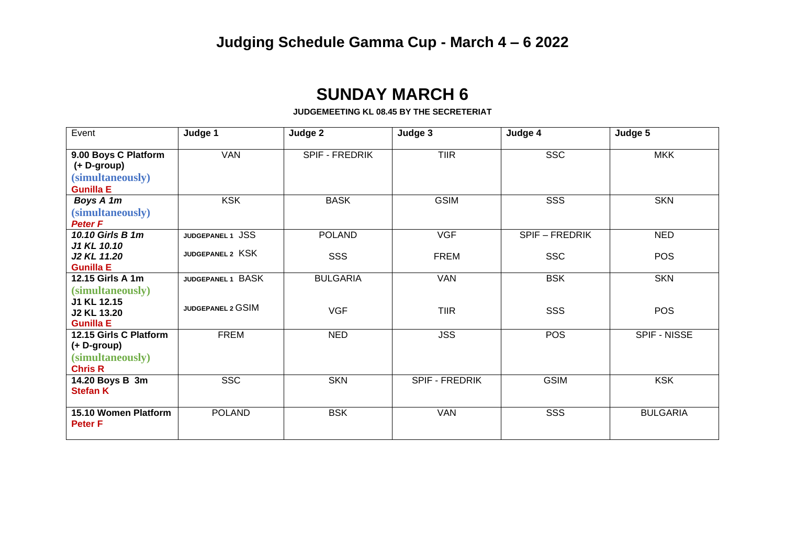## **SUNDAY MARCH 6**

**JUDGEMEETING KL 08.45 BY THE SECRETERIAT**

| Event                                                                       | Judge 1           | Judge 2         | Judge 3        | Judge 4               | Judge 5         |
|-----------------------------------------------------------------------------|-------------------|-----------------|----------------|-----------------------|-----------------|
| 9.00 Boys C Platform<br>(+ D-group)<br>(simultaneously)<br><b>Gunilla E</b> | <b>VAN</b>        | SPIF - FREDRIK  | <b>TIIR</b>    | <b>SSC</b>            | <b>MKK</b>      |
| Boys A 1m<br>(simultaneously)<br>Peter <sub>F</sub>                         | <b>KSK</b>        | <b>BASK</b>     | <b>GSIM</b>    | SSS                   | <b>SKN</b>      |
| 10.10 Girls B 1m                                                            | JUDGEPANEL 1 JSS  | <b>POLAND</b>   | <b>VGF</b>     | <b>SPIF - FREDRIK</b> | <b>NED</b>      |
| J1 KL 10.10<br>J2 KL 11.20<br><b>Gunilla E</b>                              | JUDGEPANEL 2 KSK  | SSS             | <b>FREM</b>    | <b>SSC</b>            | <b>POS</b>      |
| 12.15 Girls A 1m                                                            | JUDGEPANEL 1 BASK | <b>BULGARIA</b> | <b>VAN</b>     | <b>BSK</b>            | <b>SKN</b>      |
| (simultaneously)<br>J1 KL 12.15<br><b>J2 KL 13.20</b><br><b>Gunilla E</b>   | JUDGEPANEL 2 GSIM | <b>VGF</b>      | <b>TIIR</b>    | <b>SSS</b>            | <b>POS</b>      |
| 12.15 Girls C Platform                                                      | <b>FREM</b>       | <b>NED</b>      | <b>JSS</b>     | <b>POS</b>            | SPIF - NISSE    |
| (+ D-group)<br>(simultaneously)<br><b>Chris R</b>                           |                   |                 |                |                       |                 |
| 14.20 Boys B 3m<br><b>Stefan K</b>                                          | <b>SSC</b>        | <b>SKN</b>      | SPIF - FREDRIK | <b>GSIM</b>           | <b>KSK</b>      |
| 15.10 Women Platform<br><b>Peter F</b>                                      | <b>POLAND</b>     | <b>BSK</b>      | <b>VAN</b>     | SSS                   | <b>BULGARIA</b> |